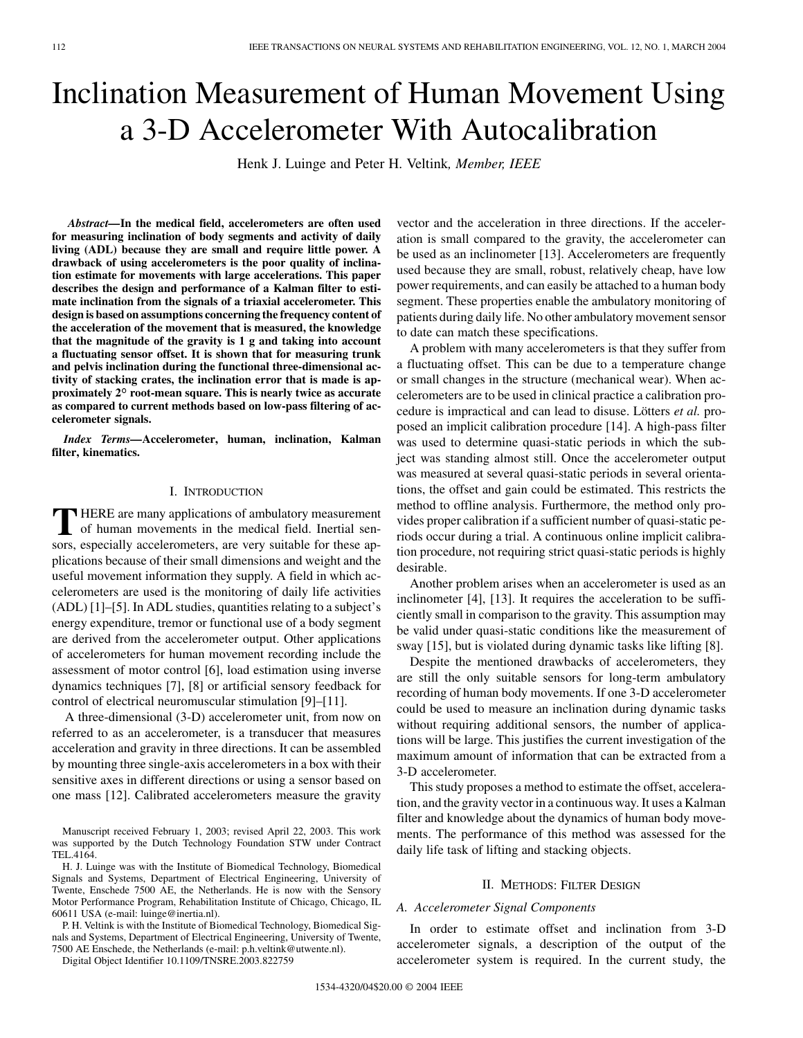# Inclination Measurement of Human Movement Using a 3-D Accelerometer With Autocalibration

Henk J. Luinge and Peter H. Veltink*, Member, IEEE*

*Abstract—***In the medical field, accelerometers are often used for measuring inclination of body segments and activity of daily living (ADL) because they are small and require little power. A drawback of using accelerometers is the poor quality of inclination estimate for movements with large accelerations. This paper describes the design and performance of a Kalman filter to estimate inclination from the signals of a triaxial accelerometer. This design is based on assumptions concerning the frequency content of the acceleration of the movement that is measured, the knowledge that the magnitude of the gravity is 1 g and taking into account a fluctuating sensor offset. It is shown that for measuring trunk and pelvis inclination during the functional three-dimensional activity of stacking crates, the inclination error that is made is approximately 2 root-mean square. This is nearly twice as accurate as compared to current methods based on low-pass filtering of accelerometer signals.**

*Index Terms—***Accelerometer, human, inclination, Kalman filter, kinematics.**

# I. INTRODUCTION

**T** HERE are many applications of ambulatory measurement<br>of human movements in the medical field. Inertial sen-<br>sense associally acceleratory are your witchlo for these an sors, especially accelerometers, are very suitable for these applications because of their small dimensions and weight and the useful movement information they supply. A field in which accelerometers are used is the monitoring of daily life activities (ADL) [[1\]](#page-8-0)–[[5\]](#page-8-0). In ADL studies, quantities relating to a subject's energy expenditure, tremor or functional use of a body segment are derived from the accelerometer output. Other applications of accelerometers for human movement recording include the assessment of motor control [\[6](#page-8-0)], load estimation using inverse dynamics techniques [[7\]](#page-8-0), [\[8](#page-8-0)] or artificial sensory feedback for control of electrical neuromuscular stimulation [[9\]](#page-8-0)–[\[11](#page-8-0)].

A three-dimensional (3-D) accelerometer unit, from now on referred to as an accelerometer, is a transducer that measures acceleration and gravity in three directions. It can be assembled by mounting three single-axis accelerometers in a box with their sensitive axes in different directions or using a sensor based on one mass [[12\]](#page-8-0). Calibrated accelerometers measure the gravity

Manuscript received February 1, 2003; revised April 22, 2003. This work was supported by the Dutch Technology Foundation STW under Contract TEL.4164.

H. J. Luinge was with the Institute of Biomedical Technology, Biomedical Signals and Systems, Department of Electrical Engineering, University of Twente, Enschede 7500 AE, the Netherlands. He is now with the Sensory Motor Performance Program, Rehabilitation Institute of Chicago, Chicago, IL 60611 USA (e-mail: luinge@inertia.nl).

P. H. Veltink is with the Institute of Biomedical Technology, Biomedical Signals and Systems, Department of Electrical Engineering, University of Twente, 7500 AE Enschede, the Netherlands (e-mail: p.h.veltink@utwente.nl).

Digital Object Identifier 10.1109/TNSRE.2003.822759

vector and the acceleration in three directions. If the acceleration is small compared to the gravity, the accelerometer can be used as an inclinometer [[13\]](#page-8-0). Accelerometers are frequently used because they are small, robust, relatively cheap, have low power requirements, and can easily be attached to a human body segment. These properties enable the ambulatory monitoring of patients during daily life. No other ambulatory movement sensor to date can match these specifications.

A problem with many accelerometers is that they suffer from a fluctuating offset. This can be due to a temperature change or small changes in the structure (mechanical wear). When accelerometers are to be used in clinical practice a calibration procedure is impractical and can lead to disuse. Lötters *et al.* proposed an implicit calibration procedure [\[14](#page-8-0)]. A high-pass filter was used to determine quasi-static periods in which the subject was standing almost still. Once the accelerometer output was measured at several quasi-static periods in several orientations, the offset and gain could be estimated. This restricts the method to offline analysis. Furthermore, the method only provides proper calibration if a sufficient number of quasi-static periods occur during a trial. A continuous online implicit calibration procedure, not requiring strict quasi-static periods is highly desirable.

Another problem arises when an accelerometer is used as an inclinometer [[4\]](#page-8-0), [\[13](#page-8-0)]. It requires the acceleration to be sufficiently small in comparison to the gravity. This assumption may be valid under quasi-static conditions like the measurement of sway [[15\]](#page-8-0), but is violated during dynamic tasks like lifting [\[8](#page-8-0)].

Despite the mentioned drawbacks of accelerometers, they are still the only suitable sensors for long-term ambulatory recording of human body movements. If one 3-D accelerometer could be used to measure an inclination during dynamic tasks without requiring additional sensors, the number of applications will be large. This justifies the current investigation of the maximum amount of information that can be extracted from a 3-D accelerometer.

This study proposes a method to estimate the offset, acceleration, and the gravity vector in a continuous way. It uses a Kalman filter and knowledge about the dynamics of human body movements. The performance of this method was assessed for the daily life task of lifting and stacking objects.

#### II. METHODS: FILTER DESIGN

# *A. Accelerometer Signal Components*

In order to estimate offset and inclination from 3-D accelerometer signals, a description of the output of the accelerometer system is required. In the current study, the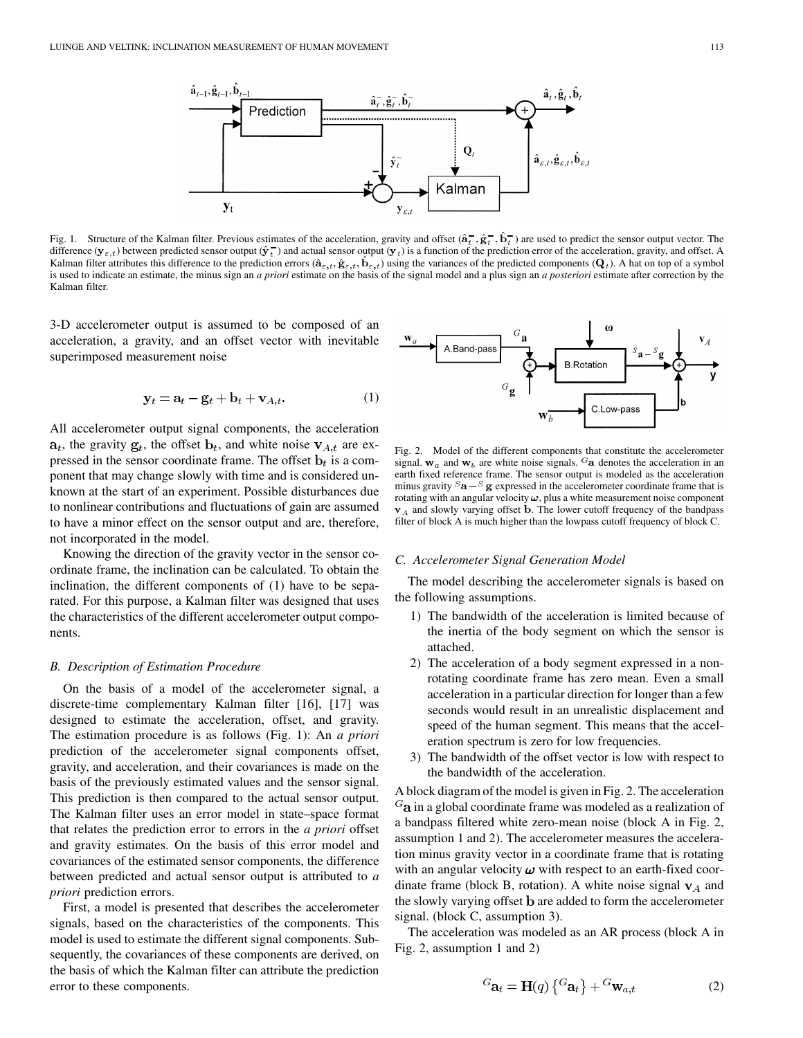

**Example 11.** Structure of the Kalman filter. Previous estimates of the acceleration, gravity and offset  $(\hat{\mathbf{a}}_t^-, \hat{\mathbf{g}}_t^-, \hat{\mathbf{b}}_t^-)$  are used to predict the sensor output vector. The difference  $(\mathbf{y}_{\varepsilon,t})$  b is used to indicate an estimate, the minus sign an *a priori* estimate on the basis of the signal model and a plus sign an *a posteriori* estimate after correction by the Kalman filter.

3-D accelerometer output is assumed to be composed of an acceleration, a gravity, and an offset vector with inevitable superimposed measurement noise

$$
\mathbf{y}_t = \mathbf{a}_t - \mathbf{g}_t + \mathbf{b}_t + \mathbf{v}_{A,t}.\tag{1}
$$

All accelerometer output signal components, the acceleration  $a_t$ , the gravity  $g_t$ , the offset  $b_t$ , and white noise  $v_{A,t}$  are expressed in the sensor coordinate frame. The offset  $\mathbf{b}_t$  is a component that may change slowly with time and is considered unknown at the start of an experiment. Possible disturbances due to nonlinear contributions and fluctuations of gain are assumed to have a minor effect on the sensor output and are, therefore, not incorporated in the model.

Knowing the direction of the gravity vector in the sensor coordinate frame, the inclination can be calculated. To obtain the inclination, the different components of (1) have to be separated. For this purpose, a Kalman filter was designed that uses the characteristics of the different accelerometer output components.

#### *B. Description of Estimation Procedure*

On the basis of a model of the accelerometer signal, a discrete-time complementary Kalman filter [[16\]](#page-8-0), [[17\]](#page-8-0) was designed to estimate the acceleration, offset, and gravity. The estimation procedure is as follows (Fig. 1): An *a priori* prediction of the accelerometer signal components offset, gravity, and acceleration, and their covariances is made on the basis of the previously estimated values and the sensor signal. This prediction is then compared to the actual sensor output. The Kalman filter uses an error model in state–space format that relates the prediction error to errors in the *a priori* offset and gravity estimates. On the basis of this error model and covariances of the estimated sensor components, the difference between predicted and actual sensor output is attributed to *a priori* prediction errors.

First, a model is presented that describes the accelerometer signals, based on the characteristics of the components. This model is used to estimate the different signal components. Subsequently, the covariances of these components are derived, on the basis of which the Kalman filter can attribute the prediction error to these components.



Fig. 2. Model of the different components that constitute the accelerometer signal.  $w_a$  and  $w_b$  are white noise signals. <sup>G</sup> a denotes the acceleration in an earth fixed reference frame. The sensor output is modeled as the acceleration Fig. 2. Model of the different components that constitute the accelerometer signal.  $w_a$  and  $w_b$  are white noise signals.  $G$  a denotes the acceleration in an earth fixed reference frame. The sensor output is modeled as rotating with an angular velocity  $\omega$ , plus a white measurement noise component  $v_A$  and slowly varying offset b. The lower cutoff frequency of the bandpass filter of block A is much higher than the lowpass cutoff frequency of block C.

## *C. Accelerometer Signal Generation Model*

The model describing the accelerometer signals is based on the following assumptions.

- 1) The bandwidth of the acceleration is limited because of the inertia of the body segment on which the sensor is attached.
- 2) The acceleration of a body segment expressed in a nonrotating coordinate frame has zero mean. Even a small acceleration in a particular direction for longer than a few seconds would result in an unrealistic displacement and speed of the human segment. This means that the acceleration spectrum is zero for low frequencies.
- 3) The bandwidth of the offset vector is low with respect to the bandwidth of the acceleration.

A block diagram of the model is given in Fig. 2. The acceleration  ${}^G$ a in a global coordinate frame was modeled as a realization of a bandpass filtered white zero-mean noise (block A in Fig. 2, assumption 1 and 2). The accelerometer measures the acceleration minus gravity vector in a coordinate frame that is rotating with an angular velocity  $\omega$  with respect to an earth-fixed coordinate frame (block B, rotation). A white noise signal  $v_A$  and the slowly varying offset **b** are added to form the accelerometer signal. (block C, assumption 3).

The acceleration was modeled as an AR process (block A in Fig. 2, assumption 1 and 2)

$$
{}^{G}\mathbf{a}_{t} = \mathbf{H}(q) \left\{{}^{G}\mathbf{a}_{t}\right\} + {}^{G}\mathbf{w}_{a,t} \tag{2}
$$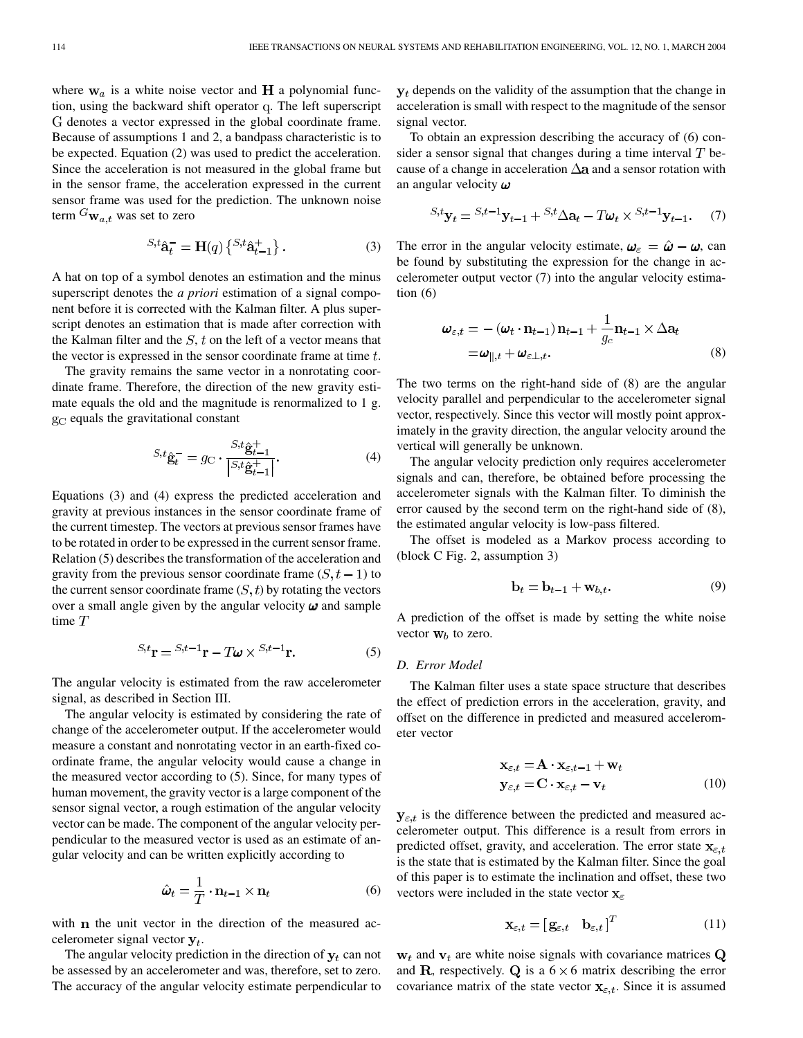where  $w_a$  is a white noise vector and H a polynomial function, using the backward shift operator q. The left superscript denotes a vector expressed in the global coordinate frame. Because of assumptions 1 and 2, a bandpass characteristic is to be expected. Equation (2) was used to predict the acceleration. Since the acceleration is not measured in the global frame but in the sensor frame, the acceleration expressed in the current sensor frame was used for the prediction. The unknown noise term  ${}^G\mathbf{w}_{a,t}$  was set to zero

$$
^{S,t}\hat{\mathbf{a}}_t = \mathbf{H}(q) \left\{ ^{S,t}\hat{\mathbf{a}}_{t-1}^+ \right\}. \tag{3}
$$

A hat on top of a symbol denotes an estimation and the minus superscript denotes the *a priori* estimation of a signal component before it is corrected with the Kalman filter. A plus superscript denotes an estimation that is made after correction with the Kalman filter and the  $S, t$  on the left of a vector means that the vector is expressed in the sensor coordinate frame at time  $t$ .

The gravity remains the same vector in a nonrotating coordinate frame. Therefore, the direction of the new gravity estimate equals the old and the magnitude is renormalized to 1 g.  $g_C$  equals the gravitational constant

$$
S_t \hat{\mathbf{g}}_t^- = g_C \cdot \frac{S_t \hat{\mathbf{g}}_{t-1}^+}{|S_t \hat{\mathbf{g}}_{t-1}^+|}.
$$
 (4)

Equations (3) and (4) express the predicted acceleration and gravity at previous instances in the sensor coordinate frame of the current timestep. The vectors at previous sensor frames have to be rotated in order to be expressed in the current sensor frame. Relation (5) describes the transformation of the acceleration and gravity from the previous sensor coordinate frame  $(S, t - 1)$  to the current sensor coordinate frame  $(S, t)$  by rotating the vectors over a small angle given by the angular velocity  $\omega$  and sample time T

$$
S_t \mathbf{r} = S_t \mathbf{r}^{-1} \mathbf{r} - T\boldsymbol{\omega} \times S_t \mathbf{r}^{-1} \mathbf{r}.
$$
 (5)

The angular velocity is estimated from the raw accelerometer signal, as described in Section III.

The angular velocity is estimated by considering the rate of change of the accelerometer output. If the accelerometer would measure a constant and nonrotating vector in an earth-fixed coordinate frame, the angular velocity would cause a change in the measured vector according to (5). Since, for many types of human movement, the gravity vector is a large component of the sensor signal vector, a rough estimation of the angular velocity vector can be made. The component of the angular velocity perpendicular to the measured vector is used as an estimate of angular velocity and can be written explicitly according to

$$
\hat{\boldsymbol{\omega}}_t = \frac{1}{T} \cdot \mathbf{n}_{t-1} \times \mathbf{n}_t \tag{6}
$$

with  $n$  the unit vector in the direction of the measured accelerometer signal vector  $y_t$ .

The angular velocity prediction in the direction of  $y_t$  can not be assessed by an accelerometer and was, therefore, set to zero. The accuracy of the angular velocity estimate perpendicular to  $y_t$  depends on the validity of the assumption that the change in acceleration is small with respect to the magnitude of the sensor signal vector.

To obtain an expression describing the accuracy of (6) consider a sensor signal that changes during a time interval  $T$  because of a change in acceleration  $\Delta$ a and a sensor rotation with an angular velocity  $\omega$ 

$$
S_t \mathbf{y}_t = S_t t^{-1} \mathbf{y}_{t-1} + S_t \Delta \mathbf{a}_t - T \boldsymbol{\omega}_t \times S_t t^{-1} \mathbf{y}_{t-1}.
$$
 (7)

The error in the angular velocity estimate,  $\omega_{\epsilon} = \hat{\omega} - \omega$ , can be found by substituting the expression for the change in accelerometer output vector (7) into the angular velocity estimation (6)

$$
\boldsymbol{\omega}_{\varepsilon,t} = -(\boldsymbol{\omega}_t \cdot \mathbf{n}_{t-1}) \mathbf{n}_{t-1} + \frac{1}{g_c} \mathbf{n}_{t-1} \times \Delta \mathbf{a}_t
$$
  
= 
$$
\boldsymbol{\omega}_{\parallel,t} + \boldsymbol{\omega}_{\varepsilon\perp,t}.
$$
 (8)

The two terms on the right-hand side of (8) are the angular velocity parallel and perpendicular to the accelerometer signal vector, respectively. Since this vector will mostly point approximately in the gravity direction, the angular velocity around the vertical will generally be unknown.

The angular velocity prediction only requires accelerometer signals and can, therefore, be obtained before processing the accelerometer signals with the Kalman filter. To diminish the error caused by the second term on the right-hand side of (8), the estimated angular velocity is low-pass filtered.

The offset is modeled as a Markov process according to (block C Fig. 2, assumption 3)

$$
\mathbf{b}_t = \mathbf{b}_{t-1} + \mathbf{w}_{b,t}.\tag{9}
$$

A prediction of the offset is made by setting the white noise vector  $w_b$  to zero.

# *D. Error Model*

The Kalman filter uses a state space structure that describes the effect of prediction errors in the acceleration, gravity, and offset on the difference in predicted and measured accelerometer vector

$$
\mathbf{x}_{\varepsilon,t} = \mathbf{A} \cdot \mathbf{x}_{\varepsilon,t-1} + \mathbf{w}_t
$$
  

$$
\mathbf{y}_{\varepsilon,t} = \mathbf{C} \cdot \mathbf{x}_{\varepsilon,t} - \mathbf{v}_t
$$
 (10)

 $y_{\varepsilon,t}$  is the difference between the predicted and measured accelerometer output. This difference is a result from errors in predicted offset, gravity, and acceleration. The error state  $\mathbf{x}_{\varepsilon,t}$ is the state that is estimated by the Kalman filter. Since the goal of this paper is to estimate the inclination and offset, these two vectors were included in the state vector  $\mathbf{x}_{\varepsilon}$ 

$$
\mathbf{x}_{\varepsilon,t} = \begin{bmatrix} \mathbf{g}_{\varepsilon,t} & \mathbf{b}_{\varepsilon,t} \end{bmatrix}^T
$$
 (11)

 $w_t$  and  $v_t$  are white noise signals with covariance matrices Q and **R**, respectively. Q is a  $6 \times 6$  matrix describing the error covariance matrix of the state vector  $\mathbf{x}_{\varepsilon,t}$ . Since it is assumed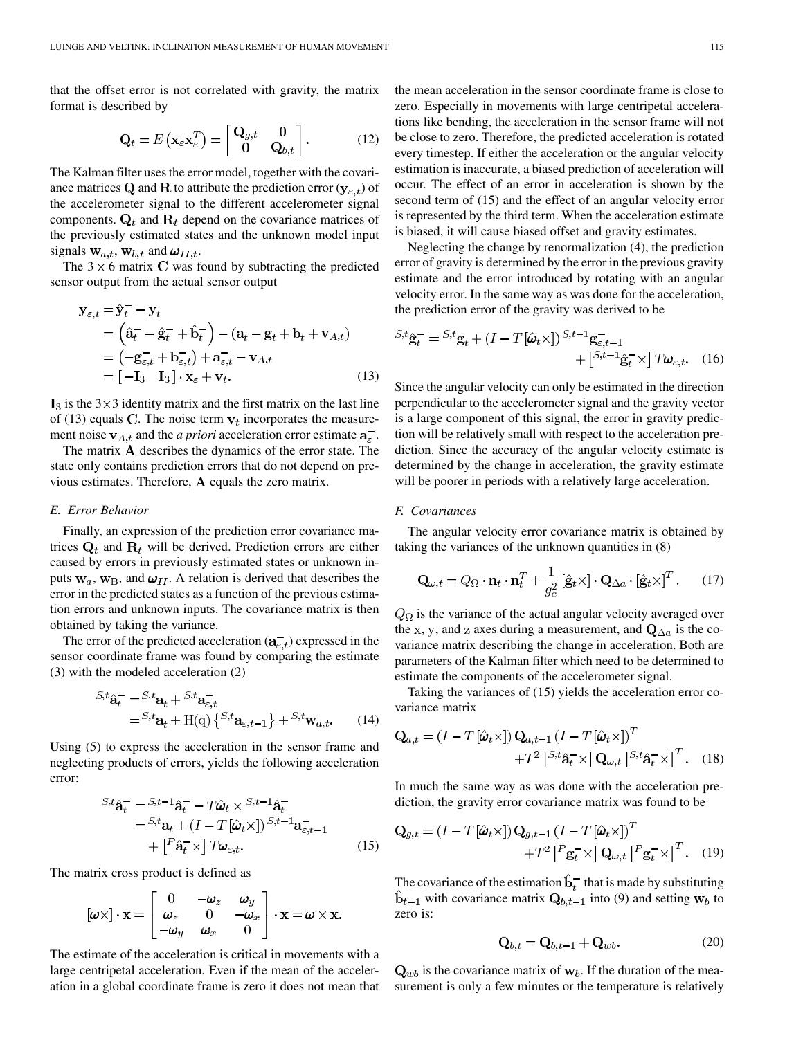that the offset error is not correlated with gravity, the matrix format is described by

$$
\mathbf{Q}_t = E\left(\mathbf{x}_{\varepsilon} \mathbf{x}_{\varepsilon}^T\right) = \begin{bmatrix} \mathbf{Q}_{g,t} & \mathbf{0} \\ \mathbf{0} & \mathbf{Q}_{b,t} \end{bmatrix} . \tag{12}
$$

The Kalman filter uses the error model, together with the covariance matrices Q and R to attribute the prediction error  $(\mathbf{y}_{\varepsilon,t})$  of the accelerometer signal to the different accelerometer signal components.  $Q_t$  and  $R_t$  depend on the covariance matrices of the previously estimated states and the unknown model input signals  $\mathbf{w}_{a,t}$ ,  $\mathbf{w}_{b,t}$  and  $\boldsymbol{\omega}_{II,t}$ .

The  $3 \times 6$  matrix C was found by subtracting the predicted sensor output from the actual sensor output

$$
\mathbf{y}_{\varepsilon,t} = \hat{\mathbf{y}}_t - \mathbf{y}_t
$$
  
=  $(\hat{\mathbf{a}}_t - \hat{\mathbf{g}}_t + \hat{\mathbf{b}}_t) - (\mathbf{a}_t - \mathbf{g}_t + \mathbf{b}_t + \mathbf{v}_{A,t})$   
=  $(-\mathbf{g}_{\varepsilon,t} - \mathbf{b}_{\varepsilon,t}) + \mathbf{a}_{\varepsilon,t} - \mathbf{v}_{A,t}$   
=  $[-\mathbf{I}_3 \quad \mathbf{I}_3] \cdot \mathbf{x}_{\varepsilon} + \mathbf{v}_t.$  (13)

 $\mathbf{I}_3$  is the 3  $\times$  3 identity matrix and the first matrix on the last line of (13) equals C. The noise term  $v_t$  incorporates the measurement noise  $v_{A,t}$  and the *a priori* acceleration error estimate  $a_{\epsilon}$ .

The matrix  $A$  describes the dynamics of the error state. The state only contains prediction errors that do not depend on previous estimates. Therefore,  $A$  equals the zero matrix.

# *E. Error Behavior*

Finally, an expression of the prediction error covariance matrices  $Q_t$  and  $R_t$  will be derived. Prediction errors are either caused by errors in previously estimated states or unknown inputs  $w_a$ ,  $w_B$ , and  $\omega_{II}$ . A relation is derived that describes the error in the predicted states as a function of the previous estimation errors and unknown inputs. The covariance matrix is then obtained by taking the variance.

The error of the predicted acceleration  $({\bf a}_{\varepsilon,t}^-)$  expressed in the sensor coordinate frame was found by comparing the estimate (3) with the modeled acceleration (2)

$$
S_{t}\hat{\mathbf{a}}_{t} = S_{t}\mathbf{a}_{t} + S_{t}\mathbf{a}_{\varepsilon,t} - S_{t}\mathbf{a}_{t} + H(\mathbf{q})\left\{S_{t}\mathbf{a}_{\varepsilon,t-1}\right\} + S_{t}\mathbf{w}_{a,t}.
$$
 (14)

Using (5) to express the acceleration in the sensor frame and neglecting products of errors, yields the following acceleration error:

$$
S_{t}\hat{\mathbf{a}}_{t} = S_{t-1}\hat{\mathbf{a}}_{t} - T\hat{\boldsymbol{\omega}}_{t} \times S_{t-1}\hat{\mathbf{a}}_{t} - S_{t}\hat{\mathbf{a}}_{t}\n= S_{t}\mathbf{a}_{t} + (I - T[\hat{\boldsymbol{\omega}}_{t} \times])^{S,t-1}\mathbf{a}_{\varepsilon,t-1}\n+ \left[{}^{P}\hat{\mathbf{a}}_{t}^{-} \times\right]T\boldsymbol{\omega}_{\varepsilon,t}.
$$
\n(15)

The matrix cross product is defined as

$$
\begin{bmatrix} \boldsymbol{\omega} \times \end{bmatrix} \cdot \mathbf{x} = \begin{bmatrix} 0 & -\boldsymbol{\omega}_z & \boldsymbol{\omega}_y \\ \boldsymbol{\omega}_z & 0 & -\boldsymbol{\omega}_x \\ -\boldsymbol{\omega}_y & \boldsymbol{\omega}_x & 0 \end{bmatrix} \cdot \mathbf{x} = \boldsymbol{\omega} \times \mathbf{x}.
$$

The estimate of the acceleration is critical in movements with a large centripetal acceleration. Even if the mean of the acceleration in a global coordinate frame is zero it does not mean that the mean acceleration in the sensor coordinate frame is close to zero. Especially in movements with large centripetal accelerations like bending, the acceleration in the sensor frame will not be close to zero. Therefore, the predicted acceleration is rotated every timestep. If either the acceleration or the angular velocity estimation is inaccurate, a biased prediction of acceleration will occur. The effect of an error in acceleration is shown by the second term of (15) and the effect of an angular velocity error is represented by the third term. When the acceleration estimate is biased, it will cause biased offset and gravity estimates.

Neglecting the change by renormalization (4), the prediction error of gravity is determined by the error in the previous gravity estimate and the error introduced by rotating with an angular velocity error. In the same way as was done for the acceleration, the prediction error of the gravity was derived to be

$$
S_{t}\hat{\mathbf{g}}_{t} = S_{t}\mathbf{g}_{t} + (I - T[\hat{\boldsymbol{\omega}}_{t} \times])^{S,t-1}\mathbf{g}_{\varepsilon,t-1}^{-} + \left[S_{t}^{S,t-1}\hat{\mathbf{g}}_{t}^{-} \times\right]T\boldsymbol{\omega}_{\varepsilon,t}.
$$
 (16)

Since the angular velocity can only be estimated in the direction perpendicular to the accelerometer signal and the gravity vector is a large component of this signal, the error in gravity prediction will be relatively small with respect to the acceleration prediction. Since the accuracy of the angular velocity estimate is determined by the change in acceleration, the gravity estimate will be poorer in periods with a relatively large acceleration.

## *F. Covariances*

The angular velocity error covariance matrix is obtained by taking the variances of the unknown quantities in (8)

$$
\mathbf{Q}_{\omega,t} = Q_{\Omega} \cdot \mathbf{n}_t \cdot \mathbf{n}_t^T + \frac{1}{g_c^2} [\hat{\mathbf{g}}_t \times ] \cdot \mathbf{Q}_{\Delta a} \cdot [\hat{\mathbf{g}}_t \times ]^T. \quad (17)
$$

 $Q_{\Omega}$  is the variance of the actual angular velocity averaged over the x, y, and z axes during a measurement, and  $\mathbf{Q}_{\Delta a}$  is the covariance matrix describing the change in acceleration. Both are parameters of the Kalman filter which need to be determined to estimate the components of the accelerometer signal.

Taking the variances of (15) yields the acceleration error covariance matrix

$$
\mathbf{Q}_{a,t} = (I - T[\hat{\boldsymbol{\omega}}_t \times]) \mathbf{Q}_{a,t-1} (I - T[\hat{\boldsymbol{\omega}}_t \times])^T \n+ T^2 \left[ {}^{S,t} \hat{\mathbf{a}}_t^- \times \right] \mathbf{Q}_{\omega,t} \left[ {}^{S,t} \hat{\mathbf{a}}_t^- \times \right]^T.
$$
 (18)

In much the same way as was done with the acceleration prediction, the gravity error covariance matrix was found to be

$$
\mathbf{Q}_{g,t} = (I - T[\hat{\boldsymbol{\omega}}_t \times]) \mathbf{Q}_{g,t-1} (I - T[\hat{\boldsymbol{\omega}}_t \times])^T \n+ T^2 [P \mathbf{g}_t^- \times] \mathbf{Q}_{\omega,t} [P \mathbf{g}_t^- \times]^T. \quad (19)
$$

The covariance of the estimation  $\hat{b}_t^-$  that is made by substituting  $\mathbf{b}_{t-1}$  with covariance matrix  $\mathbf{Q}_{b,t-1}$  into (9) and setting  $\mathbf{w}_b$  to zero is:

$$
\mathbf{Q}_{b,t} = \mathbf{Q}_{b,t-1} + \mathbf{Q}_{wb}.
$$
 (20)

 $\mathbf{Q}_{wb}$  is the covariance matrix of  $\mathbf{w}_b$ . If the duration of the measurement is only a few minutes or the temperature is relatively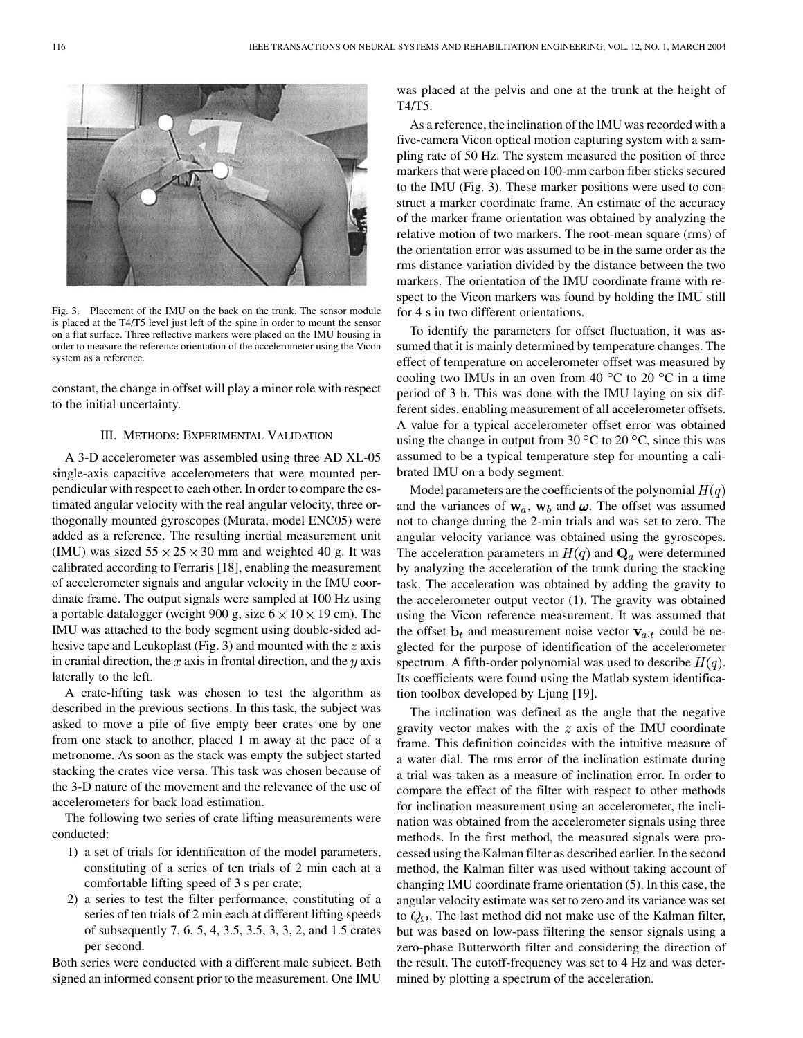Fig. 3. Placement of the IMU on the back on the trunk. The sensor module is placed at the T4/T5 level just left of the spine in order to mount the sensor on a flat surface. Three reflective markers were placed on the IMU housing in order to measure the reference orientation of the accelerometer using the Vicon

constant, the change in offset will play a minor role with respect to the initial uncertainty.

#### III. METHODS: EXPERIMENTAL VALIDATION

A 3-D accelerometer was assembled using three AD XL-05 single-axis capacitive accelerometers that were mounted perpendicular with respect to each other. In order to compare the estimated angular velocity with the real angular velocity, three orthogonally mounted gyroscopes (Murata, model ENC05) were added as a reference. The resulting inertial measurement unit (IMU) was sized  $55 \times 25 \times 30$  mm and weighted 40 g. It was calibrated according to Ferraris [[18\]](#page-8-0), enabling the measurement of accelerometer signals and angular velocity in the IMU coordinate frame. The output signals were sampled at 100 Hz using a portable datalogger (weight 900 g, size  $6 \times 10 \times 19$  cm). The IMU was attached to the body segment using double-sided adhesive tape and Leukoplast (Fig. 3) and mounted with the  $z$  axis in cranial direction, the  $x$  axis in frontal direction, and the  $y$  axis laterally to the left.

A crate-lifting task was chosen to test the algorithm as described in the previous sections. In this task, the subject was asked to move a pile of five empty beer crates one by one from one stack to another, placed 1 m away at the pace of a metronome. As soon as the stack was empty the subject started stacking the crates vice versa. This task was chosen because of the 3-D nature of the movement and the relevance of the use of accelerometers for back load estimation.

The following two series of crate lifting measurements were conducted:

- 1) a set of trials for identification of the model parameters, constituting of a series of ten trials of 2 min each at a comfortable lifting speed of 3 s per crate;
- 2) a series to test the filter performance, constituting of a series of ten trials of 2 min each at different lifting speeds of subsequently 7, 6, 5, 4, 3.5, 3.5, 3, 3, 2, and 1.5 crates per second.

Both series were conducted with a different male subject. Both signed an informed consent prior to the measurement. One IMU

was placed at the pelvis and one at the trunk at the height of T4/T5.

As a reference, the inclination of the IMU was recorded with a five-camera Vicon optical motion capturing system with a sampling rate of 50 Hz. The system measured the position of three markers that were placed on 100-mm carbon fiber sticks secured to the IMU (Fig. 3). These marker positions were used to construct a marker coordinate frame. An estimate of the accuracy of the marker frame orientation was obtained by analyzing the relative motion of two markers. The root-mean square (rms) of the orientation error was assumed to be in the same order as the rms distance variation divided by the distance between the two markers. The orientation of the IMU coordinate frame with respect to the Vicon markers was found by holding the IMU still for 4 s in two different orientations.

To identify the parameters for offset fluctuation, it was assumed that it is mainly determined by temperature changes. The effect of temperature on accelerometer offset was measured by cooling two IMUs in an oven from 40  $\degree$ C to 20  $\degree$ C in a time period of 3 h. This was done with the IMU laying on six different sides, enabling measurement of all accelerometer offsets. A value for a typical accelerometer offset error was obtained using the change in output from 30  $\mathrm{^{\circ}C}$  to 20  $\mathrm{^{\circ}C}$ , since this was assumed to be a typical temperature step for mounting a calibrated IMU on a body segment.

Model parameters are the coefficients of the polynomial  $H(q)$ and the variances of  $w_a$ ,  $w_b$  and  $\omega$ . The offset was assumed not to change during the 2-min trials and was set to zero. The angular velocity variance was obtained using the gyroscopes. The acceleration parameters in  $H(q)$  and  $\mathbf{Q}_a$  were determined by analyzing the acceleration of the trunk during the stacking task. The acceleration was obtained by adding the gravity to the accelerometer output vector (1). The gravity was obtained using the Vicon reference measurement. It was assumed that the offset  $\mathbf{b}_t$  and measurement noise vector  $\mathbf{v}_{a,t}$  could be neglected for the purpose of identification of the accelerometer spectrum. A fifth-order polynomial was used to describe  $H(q)$ . Its coefficients were found using the Matlab system identification toolbox developed by Ljung [[19\]](#page-9-0).

The inclination was defined as the angle that the negative gravity vector makes with the  $z$  axis of the IMU coordinate frame. This definition coincides with the intuitive measure of a water dial. The rms error of the inclination estimate during a trial was taken as a measure of inclination error. In order to compare the effect of the filter with respect to other methods for inclination measurement using an accelerometer, the inclination was obtained from the accelerometer signals using three methods. In the first method, the measured signals were processed using the Kalman filter as described earlier. In the second method, the Kalman filter was used without taking account of changing IMU coordinate frame orientation (5). In this case, the angular velocity estimate was set to zero and its variance was set to  $Q_{\Omega}$ . The last method did not make use of the Kalman filter, but was based on low-pass filtering the sensor signals using a zero-phase Butterworth filter and considering the direction of the result. The cutoff-frequency was set to 4 Hz and was determined by plotting a spectrum of the acceleration.



system as a reference.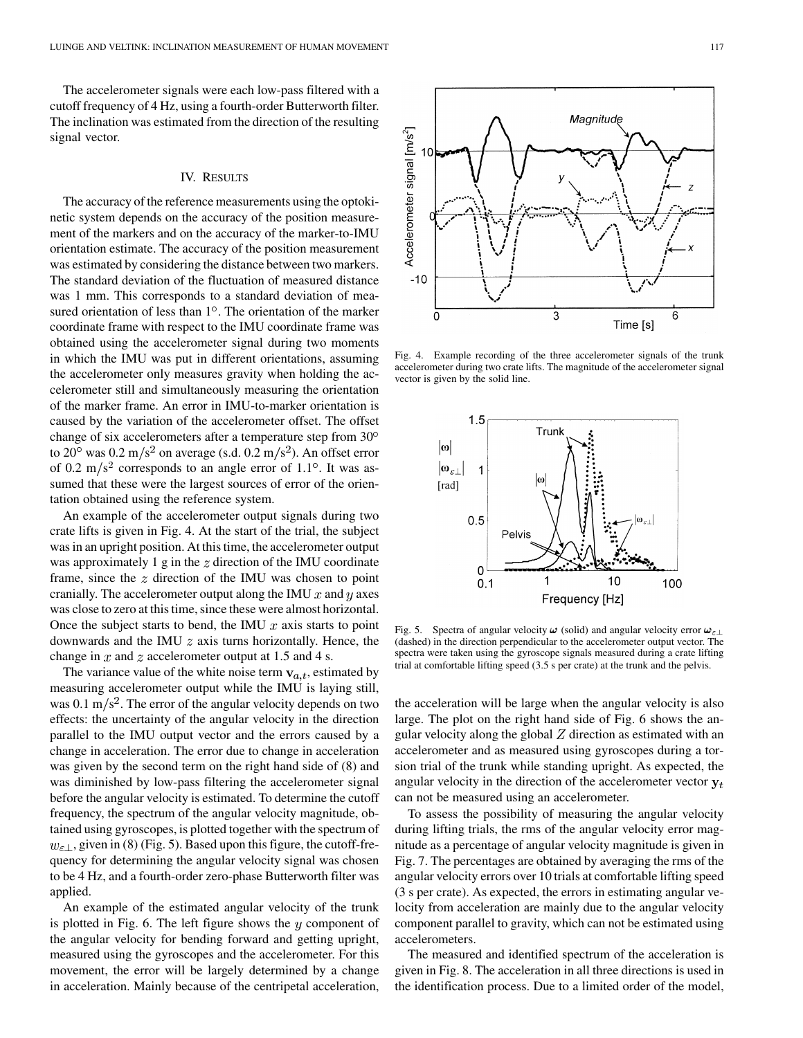The accelerometer signals were each low-pass filtered with a cutoff frequency of 4 Hz, using a fourth-order Butterworth filter. The inclination was estimated from the direction of the resulting signal vector.

#### IV. RESULTS

The accuracy of the reference measurements using the optokinetic system depends on the accuracy of the position measurement of the markers and on the accuracy of the marker-to-IMU orientation estimate. The accuracy of the position measurement was estimated by considering the distance between two markers. The standard deviation of the fluctuation of measured distance was 1 mm. This corresponds to a standard deviation of measured orientation of less than  $1^\circ$ . The orientation of the marker coordinate frame with respect to the IMU coordinate frame was obtained using the accelerometer signal during two moments in which the IMU was put in different orientations, assuming the accelerometer only measures gravity when holding the accelerometer still and simultaneously measuring the orientation of the marker frame. An error in IMU-to-marker orientation is caused by the variation of the accelerometer offset. The offset change of six accelerometers after a temperature step from 30 to 20° was  $0.2 \text{ m/s}^2$  on average (s.d.  $0.2 \text{ m/s}^2$ ). An offset error of 0.2 m/s<sup>2</sup> corresponds to an angle error of 1.1<sup>o</sup>. It was assumed that these were the largest sources of error of the orientation obtained using the reference system.

An example of the accelerometer output signals during two crate lifts is given in Fig. 4. At the start of the trial, the subject was in an upright position. At this time, the accelerometer output was approximately 1 g in the  $z$  direction of the IMU coordinate frame, since the  $z$  direction of the IMU was chosen to point cranially. The accelerometer output along the IMU  $x$  and  $y$  axes was close to zero at this time, since these were almost horizontal. Once the subject starts to bend, the IMU  $x$  axis starts to point downwards and the IMU  $z$  axis turns horizontally. Hence, the change in  $x$  and  $z$  accelerometer output at 1.5 and 4 s.

The variance value of the white noise term  $v_{a,t}$ , estimated by measuring accelerometer output while the IMU is laying still, was  $0.1 \text{ m/s}^2$ . The error of the angular velocity depends on two effects: the uncertainty of the angular velocity in the direction parallel to the IMU output vector and the errors caused by a change in acceleration. The error due to change in acceleration was given by the second term on the right hand side of (8) and was diminished by low-pass filtering the accelerometer signal before the angular velocity is estimated. To determine the cutoff frequency, the spectrum of the angular velocity magnitude, obtained using gyroscopes, is plotted together with the spectrum of  $w_{\varepsilon\perp}$ , given in (8) (Fig. 5). Based upon this figure, the cutoff-frequency for determining the angular velocity signal was chosen to be 4 Hz, and a fourth-order zero-phase Butterworth filter was applied.

An example of the estimated angular velocity of the trunk is plotted in Fig. 6. The left figure shows the  $y$  component of the angular velocity for bending forward and getting upright, measured using the gyroscopes and the accelerometer. For this movement, the error will be largely determined by a change in acceleration. Mainly because of the centripetal acceleration,



Fig. 4. Example recording of the three accelerometer signals of the trunk accelerometer during two crate lifts. The magnitude of the accelerometer signal vector is given by the solid line.



Fig. 5. Spectra of angular velocity  $\omega$  (solid) and angular velocity error  $\omega_{\epsilon}$ (dashed) in the direction perpendicular to the accelerometer output vector. The spectra were taken using the gyroscope signals measured during a crate lifting trial at comfortable lifting speed (3.5 s per crate) at the trunk and the pelvis.

the acceleration will be large when the angular velocity is also large. The plot on the right hand side of Fig. 6 shows the angular velocity along the global  $Z$  direction as estimated with an accelerometer and as measured using gyroscopes during a torsion trial of the trunk while standing upright. As expected, the angular velocity in the direction of the accelerometer vector  $y_t$ can not be measured using an accelerometer.

To assess the possibility of measuring the angular velocity during lifting trials, the rms of the angular velocity error magnitude as a percentage of angular velocity magnitude is given in Fig. 7. The percentages are obtained by averaging the rms of the angular velocity errors over 10 trials at comfortable lifting speed (3 s per crate). As expected, the errors in estimating angular velocity from acceleration are mainly due to the angular velocity component parallel to gravity, which can not be estimated using accelerometers.

The measured and identified spectrum of the acceleration is given in Fig. 8. The acceleration in all three directions is used in the identification process. Due to a limited order of the model,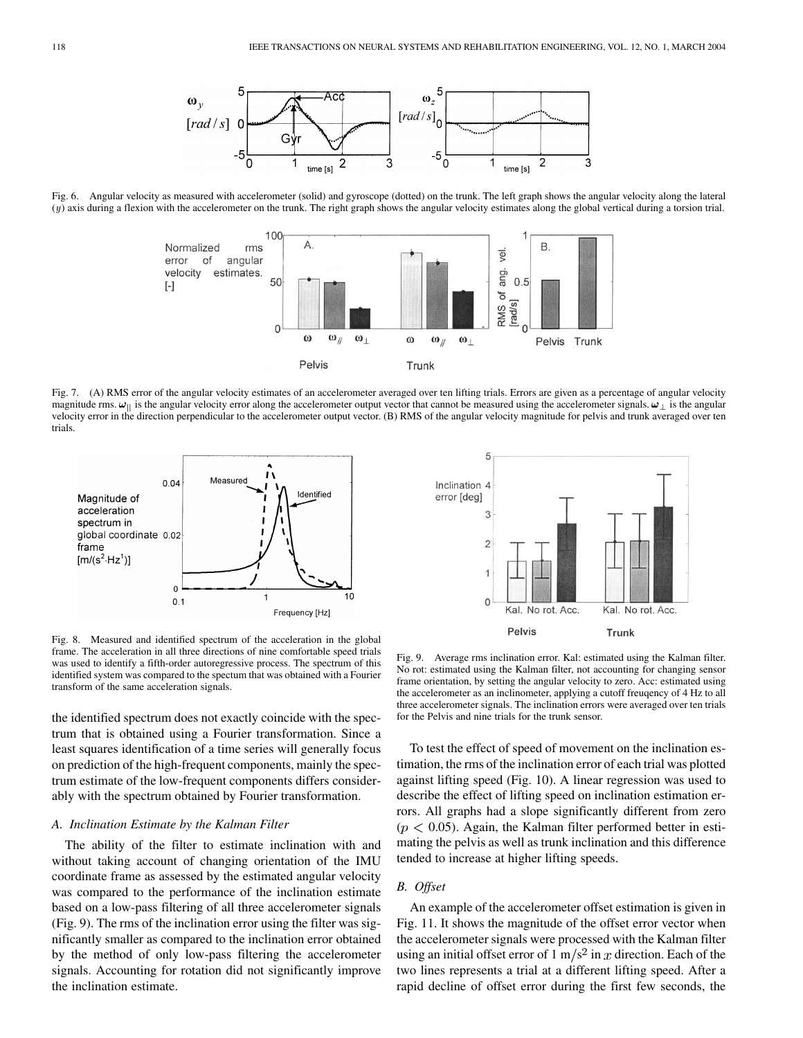

Fig. 6. Angular velocity as measured with accelerometer (solid) and gyroscope (dotted) on the trunk. The left graph shows the angular velocity along the lateral (y) axis during a flexion with the accelerometer on the trunk. The right graph shows the angular velocity estimates along the global vertical during a torsion trial.



Fig. 7. (A) RMS error of the angular velocity estimates of an accelerometer averaged over ten lifting trials. Errors are given as a percentage of angular velocity magnitude rms.  $\omega_{\parallel}$  is the angular velocity error along the accelerometer output vector that cannot be measured using the accelerometer signals.  $\omega_{\perp}$  is the angular velocity error in the direction perpendicular to the accelerometer output vector. (B) RMS of the angular velocity magnitude for pelvis and trunk averaged over ten trials.



5 Inclination 4 error [deg] 3  $\overline{2}$ 1  $\mathcal{C}$ Kal. No rot. Acc. Kal. No rot. Acc. **Pelvis** Trunk

Fig. 8. Measured and identified spectrum of the acceleration in the global frame. The acceleration in all three directions of nine comfortable speed trials was used to identify a fifth-order autoregressive process. The spectrum of this identified system was compared to the spectum that was obtained with a Fourier transform of the same acceleration signals.

the identified spectrum does not exactly coincide with the spectrum that is obtained using a Fourier transformation. Since a least squares identification of a time series will generally focus on prediction of the high-frequent components, mainly the spectrum estimate of the low-frequent components differs considerably with the spectrum obtained by Fourier transformation.

# *A. Inclination Estimate by the Kalman Filter*

The ability of the filter to estimate inclination with and without taking account of changing orientation of the IMU coordinate frame as assessed by the estimated angular velocity was compared to the performance of the inclination estimate based on a low-pass filtering of all three accelerometer signals (Fig. 9). The rms of the inclination error using the filter was significantly smaller as compared to the inclination error obtained by the method of only low-pass filtering the accelerometer signals. Accounting for rotation did not significantly improve the inclination estimate.

Fig. 9. Average rms inclination error. Kal: estimated using the Kalman filter. No rot: estimated using the Kalman filter, not accounting for changing sensor frame orientation, by setting the angular velocity to zero. Acc: estimated using the accelerometer as an inclinometer, applying a cutoff freuqency of 4 Hz to all three accelerometer signals. The inclination errors were averaged over ten trials for the Pelvis and nine trials for the trunk sensor.

To test the effect of speed of movement on the inclination estimation, the rms of the inclination error of each trial was plotted against lifting speed (Fig. 10). A linear regression was used to describe the effect of lifting speed on inclination estimation errors. All graphs had a slope significantly different from zero  $(p < 0.05)$ . Again, the Kalman filter performed better in estimating the pelvis as well as trunk inclination and this difference tended to increase at higher lifting speeds.

## *B. Offset*

An example of the accelerometer offset estimation is given in Fig. 11. It shows the magnitude of the offset error vector when the accelerometer signals were processed with the Kalman filter using an initial offset error of  $1 \text{ m/s}^2$  in x direction. Each of the two lines represents a trial at a different lifting speed. After a rapid decline of offset error during the first few seconds, the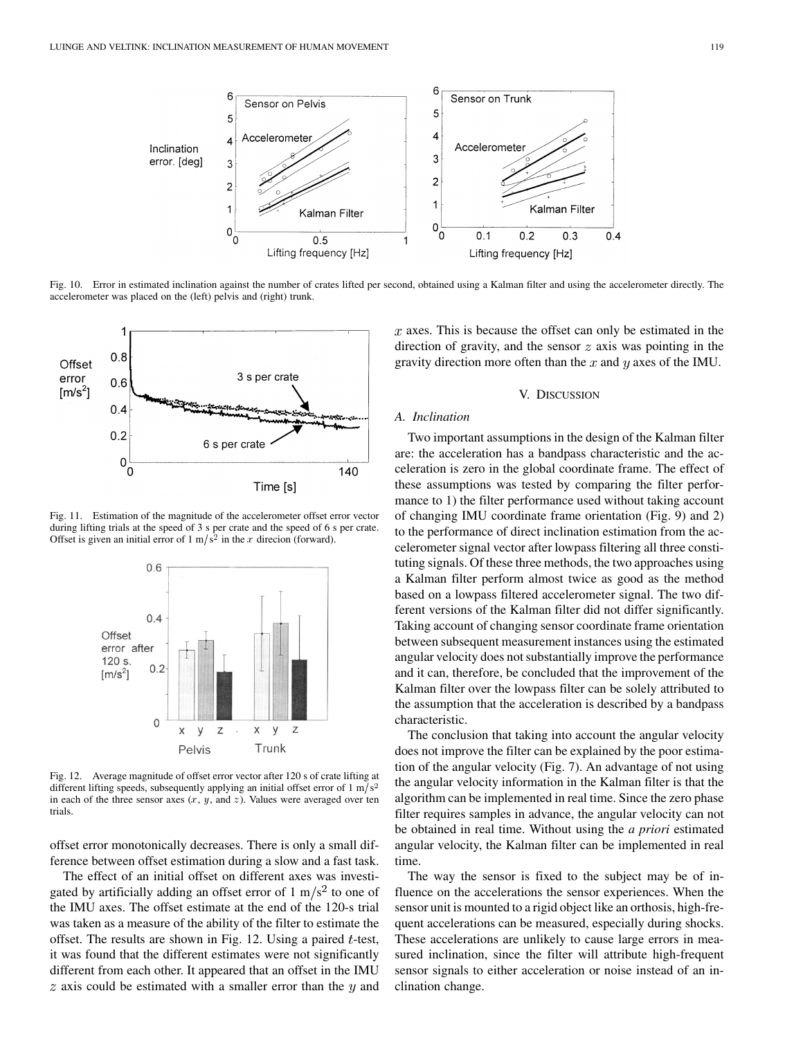

Fig. 10. Error in estimated inclination against the number of crates lifted per second, obtained using a Kalman filter and using the accelerometer directly. The accelerometer was placed on the (left) pelvis and (right) trunk.



Fig. 11. Estimation of the magnitude of the accelerometer offset error vector during lifting trials at the speed of 3 s per crate and the speed of 6 s per crate. Offset is given an initial error of  $1 \text{ m/s}^2$  in the x direcion (forward).



Fig. 12. Average magnitude of offset error vector after 120 s of crate lifting at different lifting speeds, subsequently applying an initial offset error of  $1 \text{ m/s}^2$ in each of the three sensor axes  $(x, y, z)$  values were averaged over ten trials.

offset error monotonically decreases. There is only a small difference between offset estimation during a slow and a fast task.

The effect of an initial offset on different axes was investigated by artificially adding an offset error of  $1 \text{ m/s}^2$  to one of the IMU axes. The offset estimate at the end of the 120-s trial was taken as a measure of the ability of the filter to estimate the offset. The results are shown in Fig. 12. Using a paired  $t$ -test, it was found that the different estimates were not significantly different from each other. It appeared that an offset in the IMU  $z$  axis could be estimated with a smaller error than the  $y$  and

 $x$  axes. This is because the offset can only be estimated in the direction of gravity, and the sensor  $z$  axis was pointing in the gravity direction more often than the x and y axes of the IMU.

### V. DISCUSSION

## *A. Inclination*

Two important assumptions in the design of the Kalman filter are: the acceleration has a bandpass characteristic and the acceleration is zero in the global coordinate frame. The effect of these assumptions was tested by comparing the filter performance to 1) the filter performance used without taking account of changing IMU coordinate frame orientation (Fig. 9) and 2) to the performance of direct inclination estimation from the accelerometer signal vector after lowpass filtering all three constituting signals. Of these three methods, the two approaches using a Kalman filter perform almost twice as good as the method based on a lowpass filtered accelerometer signal. The two different versions of the Kalman filter did not differ significantly. Taking account of changing sensor coordinate frame orientation between subsequent measurement instances using the estimated angular velocity does not substantially improve the performance and it can, therefore, be concluded that the improvement of the Kalman filter over the lowpass filter can be solely attributed to the assumption that the acceleration is described by a bandpass characteristic.

The conclusion that taking into account the angular velocity does not improve the filter can be explained by the poor estimation of the angular velocity (Fig. 7). An advantage of not using the angular velocity information in the Kalman filter is that the algorithm can be implemented in real time. Since the zero phase filter requires samples in advance, the angular velocity can not be obtained in real time. Without using the *a priori* estimated angular velocity, the Kalman filter can be implemented in real time.

The way the sensor is fixed to the subject may be of influence on the accelerations the sensor experiences. When the sensor unit is mounted to a rigid object like an orthosis, high-frequent accelerations can be measured, especially during shocks. These accelerations are unlikely to cause large errors in measured inclination, since the filter will attribute high-frequent sensor signals to either acceleration or noise instead of an inclination change.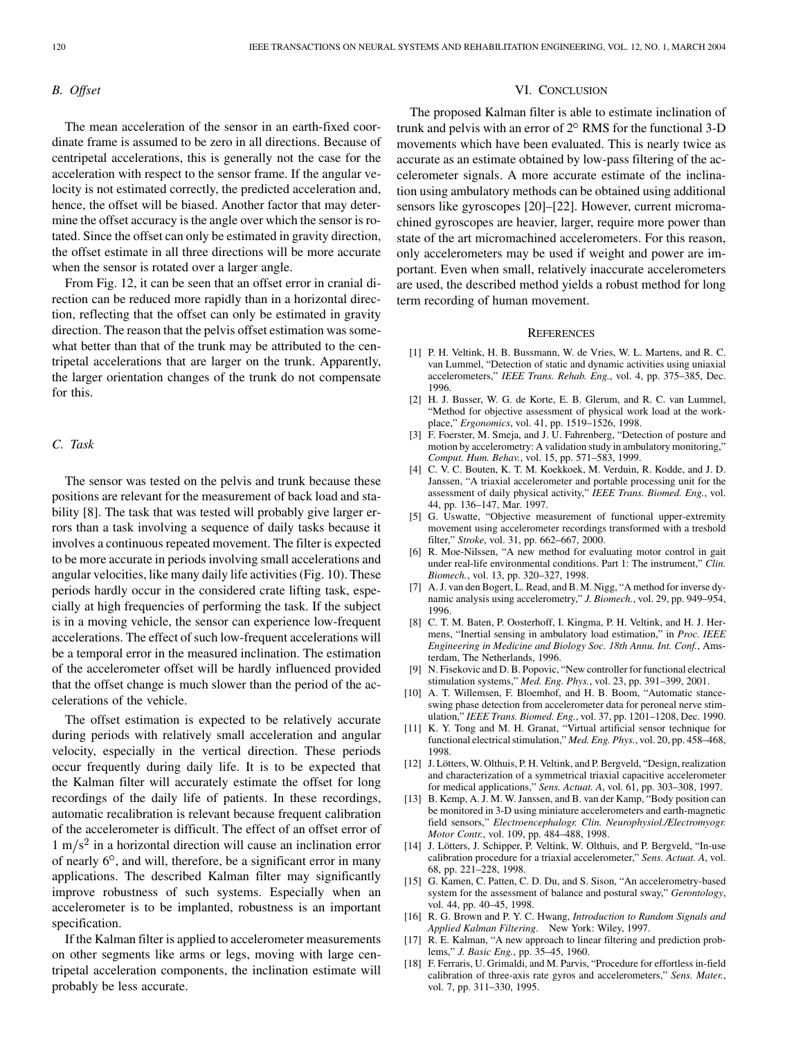# <span id="page-8-0"></span>*B. Offset*

The mean acceleration of the sensor in an earth-fixed coordinate frame is assumed to be zero in all directions. Because of centripetal accelerations, this is generally not the case for the acceleration with respect to the sensor frame. If the angular velocity is not estimated correctly, the predicted acceleration and, hence, the offset will be biased. Another factor that may determine the offset accuracy is the angle over which the sensor is rotated. Since the offset can only be estimated in gravity direction, the offset estimate in all three directions will be more accurate when the sensor is rotated over a larger angle.

From Fig. 12, it can be seen that an offset error in cranial direction can be reduced more rapidly than in a horizontal direction, reflecting that the offset can only be estimated in gravity direction. The reason that the pelvis offset estimation was somewhat better than that of the trunk may be attributed to the centripetal accelerations that are larger on the trunk. Apparently, the larger orientation changes of the trunk do not compensate for this.

# *C. Task*

The sensor was tested on the pelvis and trunk because these positions are relevant for the measurement of back load and stability [8]. The task that was tested will probably give larger errors than a task involving a sequence of daily tasks because it involves a continuous repeated movement. The filter is expected to be more accurate in periods involving small accelerations and angular velocities, like many daily life activities (Fig. 10). These periods hardly occur in the considered crate lifting task, especially at high frequencies of performing the task. If the subject is in a moving vehicle, the sensor can experience low-frequent accelerations. The effect of such low-frequent accelerations will be a temporal error in the measured inclination. The estimation of the accelerometer offset will be hardly influenced provided that the offset change is much slower than the period of the accelerations of the vehicle.

The offset estimation is expected to be relatively accurate during periods with relatively small acceleration and angular velocity, especially in the vertical direction. These periods occur frequently during daily life. It is to be expected that the Kalman filter will accurately estimate the offset for long recordings of the daily life of patients. In these recordings, automatic recalibration is relevant because frequent calibration of the accelerometer is difficult. The effect of an offset error of  $1 \text{ m/s}^2$  in a horizontal direction will cause an inclination error of nearly  $6^\circ$ , and will, therefore, be a significant error in many applications. The described Kalman filter may significantly improve robustness of such systems. Especially when an accelerometer is to be implanted, robustness is an important specification.

If the Kalman filter is applied to accelerometer measurements on other segments like arms or legs, moving with large centripetal acceleration components, the inclination estimate will probably be less accurate.

#### VI. CONCLUSION

The proposed Kalman filter is able to estimate inclination of trunk and pelvis with an error of  $2^{\circ}$  RMS for the functional 3-D movements which have been evaluated. This is nearly twice as accurate as an estimate obtained by low-pass filtering of the accelerometer signals. A more accurate estimate of the inclination using ambulatory methods can be obtained using additional sensors like gyroscopes [\[20](#page-9-0)]–[[22\]](#page-9-0). However, current micromachined gyroscopes are heavier, larger, require more power than state of the art micromachined accelerometers. For this reason, only accelerometers may be used if weight and power are important. Even when small, relatively inaccurate accelerometers are used, the described method yields a robust method for long term recording of human movement.

#### **REFERENCES**

- [1] P. H. Veltink, H. B. Bussmann, W. de Vries, W. L. Martens, and R. C. van Lummel, "Detection of static and dynamic activities using uniaxial accelerometers," *IEEE Trans. Rehab. Eng.*, vol. 4, pp. 375–385, Dec. 1996.
- [2] H. J. Busser, W. G. de Korte, E. B. Glerum, and R. C. van Lummel, "Method for objective assessment of physical work load at the workplace," *Ergonomics*, vol. 41, pp. 1519–1526, 1998.
- [3] F. Foerster, M. Smeja, and J. U. Fahrenberg, "Detection of posture and motion by accelerometry: A validation study in ambulatory monitoring," *Comput. Hum. Behav.*, vol. 15, pp. 571–583, 1999.
- [4] C. V. C. Bouten, K. T. M. Koekkoek, M. Verduin, R. Kodde, and J. D. Janssen, "A triaxial accelerometer and portable processing unit for the assessment of daily physical activity," *IEEE Trans. Biomed. Eng.*, vol. 44, pp. 136–147, Mar. 1997.
- [5] G. Uswatte, "Objective measurement of functional upper-extremity movement using accelerometer recordings transformed with a treshold filter," *Stroke*, vol. 31, pp. 662–667, 2000.
- [6] R. Moe-Nilssen, "A new method for evaluating motor control in gait under real-life environmental conditions. Part 1: The instrument," *Clin. Biomech.*, vol. 13, pp. 320–327, 1998.
- [7] A. J. van den Bogert, L. Read, and B. M. Nigg, "A method for inverse dynamic analysis using accelerometry," *J. Biomech.*, vol. 29, pp. 949–954, 1996.
- [8] C. T. M. Baten, P. Oosterhoff, I. Kingma, P. H. Veltink, and H. J. Hermens, "Inertial sensing in ambulatory load estimation," in *Proc. IEEE Engineering in Medicine and Biology Soc. 18th Annu. Int. Conf.*, Amsterdam, The Netherlands, 1996.
- [9] N. Fisekovic and D. B. Popovic, "New controller for functional electrical stimulation systems," *Med. Eng. Phys.*, vol. 23, pp. 391–399, 2001.
- [10] A. T. Willemsen, F. Bloemhof, and H. B. Boom, "Automatic stanceswing phase detection from accelerometer data for peroneal nerve stimulation," *IEEE Trans. Biomed. Eng.*, vol. 37, pp. 1201–1208, Dec. 1990.
- [11] K. Y. Tong and M. H. Granat, "Virtual artificial sensor technique for functional electrical stimulation," *Med. Eng. Phys.*, vol. 20, pp. 458–468, 1998.
- [12] J. Lötters, W. Olthuis, P. H. Veltink, and P. Bergveld, "Design, realization and characterization of a symmetrical triaxial capacitive accelerometer for medical applications," *Sens. Actuat. A*, vol. 61, pp. 303–308, 1997.
- [13] B. Kemp, A. J. M. W. Janssen, and B. van der Kamp, "Body position can be monitored in 3-D using miniature accelerometers and earth-magnetic field sensors," *Electroencephalogr. Clin. Neurophysiol./Electromyogr. Motor Contr.*, vol. 109, pp. 484–488, 1998.
- [14] J. Lötters, J. Schipper, P. Veltink, W. Olthuis, and P. Bergveld, "In-use calibration procedure for a triaxial accelerometer," *Sens. Actuat. A*, vol. 68, pp. 221–228, 1998.
- [15] G. Kamen, C. Patten, C. D. Du, and S. Sison, "An accelerometry-based system for the assessment of balance and postural sway," *Gerontology*, vol. 44, pp. 40–45, 1998.
- [16] R. G. Brown and P. Y. C. Hwang, *Introduction to Random Signals and Applied Kalman Filtering*. New York: Wiley, 1997.
- [17] R. E. Kalman, "A new approach to linear filtering and prediction problems," *J. Basic Eng.*, pp. 35–45, 1960.
- [18] F. Ferraris, U. Grimaldi, and M. Parvis, "Procedure for effortless in-field calibration of three-axis rate gyros and accelerometers," *Sens. Mater.*, vol. 7, pp. 311–330, 1995.